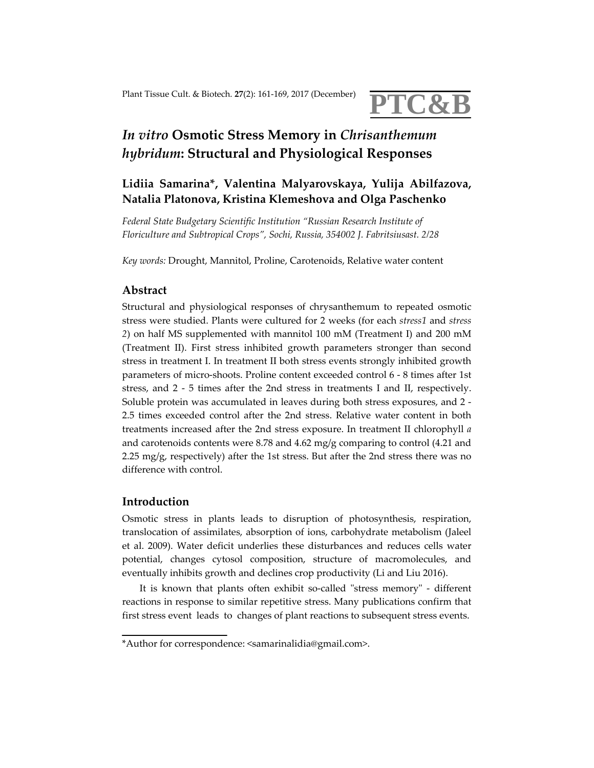

# *In vitro* **Osmotic Stress Memory in** *Chrisanthemum hybridum***: Structural and Physiological Responses**

# **Lidiia Samarina\*, Valentina Malyarovskaya, Yulija Abilfazova, Natalia Platonova, Kristina Klemeshova and Olga Paschenko**

*Federal State Budgetary Scientific Institution "Russian Research Institute of Floriculture and Subtropical Crops", Sochi, Russia, 354002 J. Fabritsiusast. 2/28*

*Key words:* Drought, Mannitol, Proline, Carotenoids, Relative water content

### **Abstract**

Structural and physiological responses of chrysanthemum to repeated osmotic stress were studied. Plants were cultured for 2 weeks (for each *stress1* and *stress 2*) on half MS supplemented with mannitol 100 mM (Treatment I) and 200 mM (Treatment II). First stress inhibited growth parameters stronger than second stress in treatment I. In treatment II both stress events strongly inhibited growth parameters of micro‐shoots. Proline content exceeded control 6 ‐ 8 times after 1st stress, and 2 - 5 times after the 2nd stress in treatments I and II, respectively. Soluble protein was accumulated in leaves during both stress exposures, and 2 ‐ 2.5 times exceeded control after the 2nd stress. Relative water content in both treatments increased after the 2nd stress exposure. In treatment II chlorophyll *а* and carotenoids contents were 8.78 and 4.62 mg/g comparing to control (4.21 and 2.25 mg/g, respectively) after the 1st stress. But after the 2nd stress there was no difference with control.

## **Introduction**

Osmotic stress in plants leads to disruption of photosynthesis, respiration, translocation of assimilates, absorption of ions, carbohydrate metabolism (Jaleel et al. 2009). Water deficit underlies these disturbances and reduces cells water potential, changes cytosol composition, structure of macromolecules, and eventually inhibits growth and declines crop productivity (Li and Liu 2016).

It is known that plants often exhibit so-called "stress memory" - different reactions in response to similar repetitive stress. Many publications confirm that first stress event leads to changes of plant reactions to subsequent stress events.

<sup>\*</sup>Author for correspondence: <samarinalidia@gmail.com>.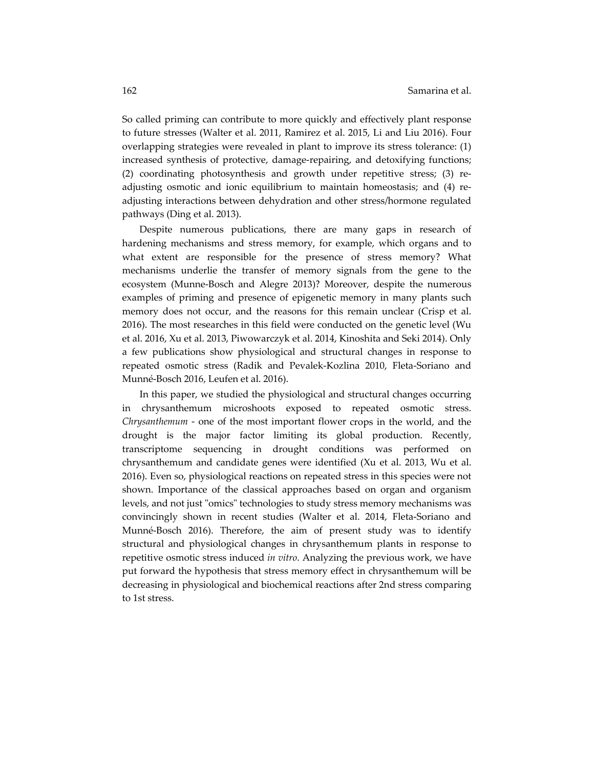So called priming can contribute to more quickly and effectively plant response to future stresses (Walter et al. 2011, Ramirez et al. 2015, Li and Liu 2016). Four overlapping strategies were revealed in plant to improve its stress tolerance: (1) increased synthesis of protective, damage-repairing, and detoxifying functions; (2) coordinating photosynthesis and growth under repetitive stress; (3) re‐ adjusting osmotic and ionic equilibrium to maintain homeostasis; and (4) re‐ adjusting interactions between dehydration and other stress/hormone regulated pathways (Ding et al. 2013).

Despite numerous publications, there are many gaps in research of hardening mechanisms and stress memory, for example, which organs and to what extent are responsible for the presence of stress memory? What mechanisms underlie the transfer of memory signals from the gene to the ecosystem (Munne‐Bosch and Alegre 2013)? Moreover, despite the numerous examples of priming and presence of epigenetic memory in many plants such memory does not occur, and the reasons for this remain unclear (Crisp et al. 2016). The most researches in this field were conducted on the genetic level (Wu et al. 2016, Xu et al. 2013, Piwowarczyk et al. 2014, Kinoshita and Seki 2014). Only a few publications show physiological and structural changes in response to repeated osmotic stress (Radik and Pevalek‐Kozlina 2010, Fleta‐Soriano and Munné‐Bosch 2016, Leufen et al. 2016).

In this paper, we studied the physiological and structural changes occurring in chrysanthemum microshoots exposed to repeated osmotic stress. *Chrysanthemum* - one of the most important flower crops in the world, and the drought is the major factor limiting its global production. Recently, transcriptome sequencing in drought conditions was performed on chrysanthemum and candidate genes were identified (Xu et al. 2013, Wu et al. 2016). Even so, physiological reactions on repeated stress in this species were not shown. Importance of the classical approaches based on organ and organism levels, and not just "omics" technologies to study stress memory mechanisms was convincingly shown in recent studies (Walter et al. 2014, Fleta‐Soriano and Munné-Bosch 2016). Therefore, the aim of present study was to identify structural and physiological changes in chrysanthemum plants in response to repetitive osmotic stress induced *in vitro*. Analyzing the previous work, we have put forward the hypothesis that stress memory effect in chrysanthemum will be decreasing in physiological and biochemical reactions after 2nd stress comparing to 1st stress.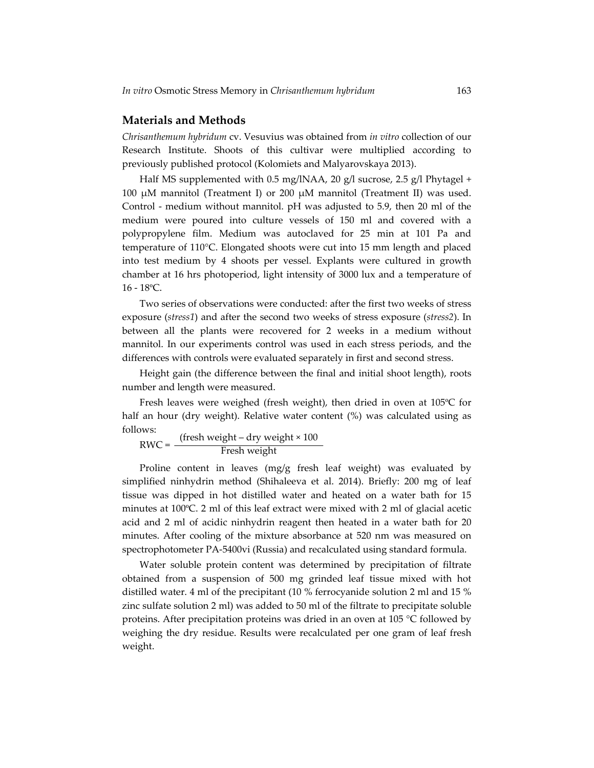#### **Materials and Methods**

*Chrisanthemum hybridum* cv. Vesuvius was obtained from *in vitro* collection of our Research Institute. Shoots of this cultivar were multiplied according to previously published protocol (Kolomiets and Malyarovskaya 2013).

Half MS supplemented with 0.5 mg/lNAA, 20 g/l sucrose, 2.5 g/l Phytagel + 100 μM mannitol (Treatment I) or 200 μM mannitol (Treatment II) was used. Control - medium without mannitol. pH was adjusted to 5.9, then 20 ml of the medium were poured into culture vessels of 150 ml and covered with a polypropylene film. Medium was autoclaved for 25 min at 101 Pa and temperature of 110°C. Elongated shoots were cut into 15 mm length and placed into test medium by 4 shoots per vessel. Explants were cultured in growth chamber at 16 hrs photoperiod, light intensity of 3000 lux and a temperature of 16 ‐ 18ºС.

Two series of observations were conducted: after the first two weeks of stress exposure (*stress1*) and after the second two weeks of stress exposure (*stress2*). In between all the plants were recovered for 2 weeks in a medium without mannitol. In our experiments control was used in each stress periods, and the differences with controls were evaluated separately in first and second stress.

Height gain (the difference between the final and initial shoot length), roots number and length were measured.

Fresh leaves were weighed (fresh weight), then dried in oven at 105ºC for half an hour (dry weight). Relative water content (%) was calculated using as follows:

$$
RWC = \frac{(fresh weight - dry weight \times 100)}{Fresh weight}
$$

Proline content in leaves (mg/g fresh leaf weight) was evaluated by simplified ninhydrin method (Shihaleeva et al. 2014). Briefly: 200 mg of leaf tissue was dipped in hot distilled water and heated on a water bath for 15 minutes at 100ºC. 2 ml of this leaf extract were mixed with 2 ml of glacial acetic acid and 2 ml of acidic ninhydrin reagent then heated in a water bath for 20 minutes. After cooling of the mixture absorbance at 520 nm was measured on spectrophotometer PA‐5400vi (Russia) and recalculated using standard formula.

Water soluble protein content was determined by precipitation of filtrate obtained from a suspension of 500 mg grinded leaf tissue mixed with hot distilled water. 4 ml of the precipitant (10 % ferrocyanide solution 2 ml and 15 % zinc sulfate solution 2 ml) was added to 50 ml of the filtrate to precipitate soluble proteins. After precipitation proteins was dried in an oven at 105 °C followed by weighing the dry residue. Results were recalculated per one gram of leaf fresh weight.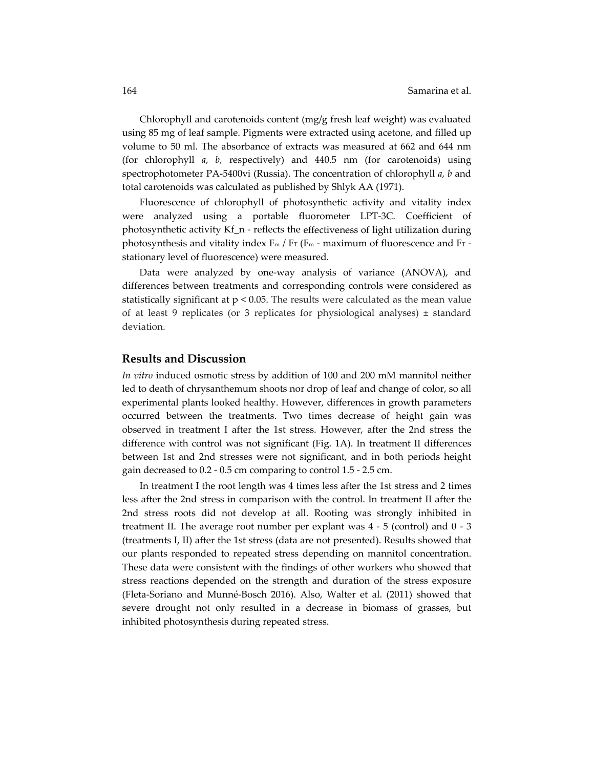Chlorophyll and carotenoids content (mg/g fresh leaf weight) was evaluated using 85 mg of leaf sample. Pigments were extracted using acetone, and filled up volume to 50 ml. The absorbance of extracts was measured at 662 and 644 nm (for chlorophyll *a*, *b,* respectively) and 440.5 nm (for carotenoids) using spectrophotometer PA‐5400vi (Russia). The concentration of chlorophyll *a*, *b* and total carotenoids was calculated as published by Shlyk AA (1971).

Fluorescence of chlorophyll of photosynthetic activity and vitality index were analyzed using a portable fluorometer LPT‐3C. Coefficient of photosynthetic activity  $Kf$  n - reflects the effectiveness of light utilization during photosynthesis and vitality index  $F_m / F_T$  ( $F_m$  - maximum of fluorescence and  $F_T$  stationary level of fluorescence) were measured.

Data were analyzed by one‐way analysis of variance (ANOVA), and differences between treatments and corresponding controls were considered as statistically significant at  $p < 0.05$ . The results were calculated as the mean value of at least 9 replicates (or 3 replicates for physiological analyses) ± standard deviation.

#### **Results and Discussion**

*In vitro* induced osmotic stress by addition of 100 and 200 mM mannitol neither led to death of chrysanthemum shoots nor drop of leaf and change of color, so all experimental plants looked healthy. However, differences in growth parameters occurred between the treatments. Two times decrease of height gain was observed in treatment I after the 1st stress. However, after the 2nd stress the difference with control was not significant (Fig. 1A). In treatment II differences between 1st and 2nd stresses were not significant, and in both periods height gain decreased to 0.2 ‐ 0.5 cm comparing to control 1.5 ‐ 2.5 cm.

In treatment I the root length was 4 times less after the 1st stress and 2 times less after the 2nd stress in comparison with the control. In treatment II after the 2nd stress roots did not develop at all. Rooting was strongly inhibited in treatment II. The average root number per explant was 4 ‐ 5 (control) and 0 ‐ 3 (treatments I, II) after the 1st stress (data are not presented). Results showed that our plants responded to repeated stress depending on mannitol concentration. These data were consistent with the findings of other workers who showed that stress reactions depended on the strength and duration of the stress exposure (Fleta‐Soriano and Munné‐Bosch 2016). Also, Walter et al. (2011) showed that severe drought not only resulted in a decrease in biomass of grasses, but inhibited photosynthesis during repeated stress.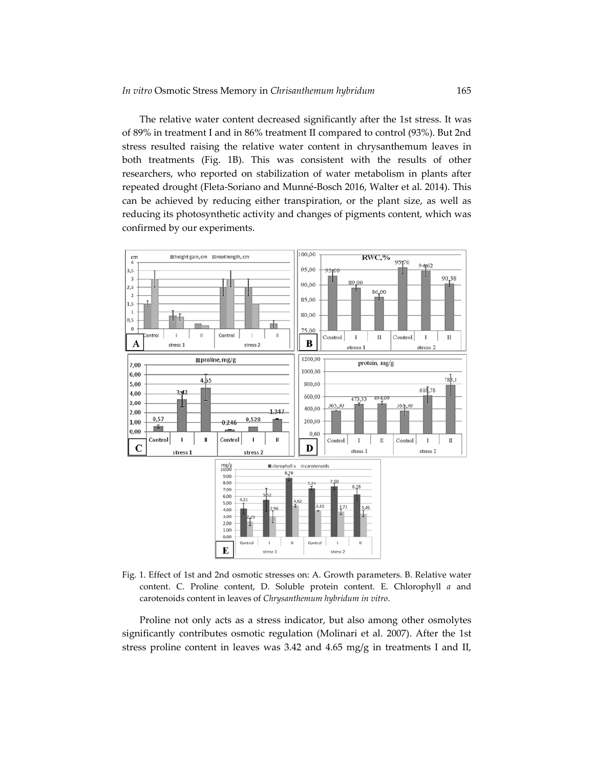The relative water content decreased significantly after the 1st stress. It was of 89% in treatment I and in 86% treatment II compared to control (93%). But 2nd stress resulted raising the relative water content in chrysanthemum leaves in both treatments (Fig. 1B). This was consistent with the results of other researchers, who reported on stabilization of water metabolism in plants after repeated drought (Fleta‐Soriano and Munné‐Bosch 2016, Walter et al. 2014). This can be achieved by reducing either transpiration, or the plant size, as well as reducing its photosynthetic activity and changes of pigments content, which was confirmed by our experiments.



Fig. 1. Effect of 1st and 2nd osmotic stresses on: A. Growth parameters. B. Relative water content. C. Proline content, D. Soluble protein content. E. Chlorophyll *a* and carotenoids content in leaves of *Chrysanthemum hybridum in vitro*.

Proline not only acts as a stress indicator, but also among other osmolytes significantly contributes osmotic regulation (Molinari et al. 2007). After the 1st stress proline content in leaves was 3.42 and 4.65 mg/g in treatments I and II,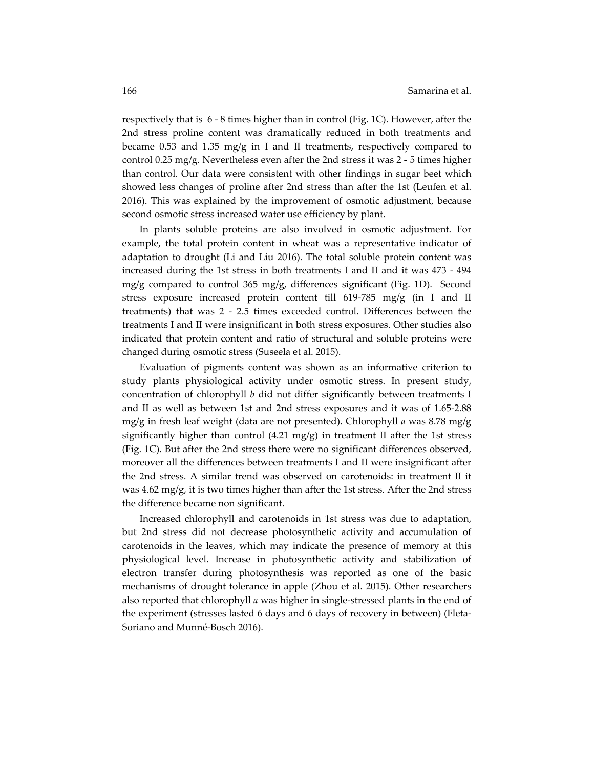respectively that is 6 ‐ 8 times higher than in control (Fig. 1C). However, after the 2nd stress proline content was dramatically reduced in both treatments and became 0.53 and 1.35 mg/g in I and II treatments, respectively compared to control 0.25 mg/g. Nevertheless even after the 2nd stress it was 2 ‐ 5 times higher than control. Our data were consistent with other findings in sugar beet which showed less changes of proline after 2nd stress than after the 1st (Leufen et al. 2016). This was explained by the improvement of osmotic adjustment, because second osmotic stress increased water use efficiency by plant.

In plants soluble proteins are also involved in osmotic adjustment. For example, the total protein content in wheat was a representative indicator of adaptation to drought (Li and Liu 2016). The total soluble protein content was increased during the 1st stress in both treatments I and II and it was  $473 - 494$ mg/g compared to control 365 mg/g, differences significant (Fig. 1D). Second stress exposure increased protein content till 619‐785 mg/g (in I and II treatments) that was 2 ‐ 2.5 times exceeded control. Differences between the treatments I and II were insignificant in both stress exposures. Other studies also indicated that protein content and ratio of structural and soluble proteins were changed during osmotic stress (Suseela et al. 2015).

Evaluation of pigments content was shown as an informative criterion to study plants physiological activity under osmotic stress. In present study, concentration of chlorophyll *b* did not differ significantly between treatments I and II as well as between 1st and 2nd stress exposures and it was of 1.65‐2.88 mg/g in fresh leaf weight (data are not presented). Chlorophyll *a* was 8.78 mg/g significantly higher than control  $(4.21 \text{ mg/g})$  in treatment II after the 1st stress (Fig. 1C). But after the 2nd stress there were no significant differences observed, moreover all the differences between treatments I and II were insignificant after the 2nd stress. A similar trend was observed on carotenoids: in treatment II it was 4.62 mg/g, it is two times higher than after the 1st stress. After the 2nd stress the difference became non significant.

Increased chlorophyll and carotenoids in 1st stress was due to adaptation, but 2nd stress did not decrease photosynthetic activity and accumulation of carotenoids in the leaves, which may indicate the presence of memory at this physiological level. Increase in photosynthetic activity and stabilization of electron transfer during photosynthesis was reported as one of the basic mechanisms of drought tolerance in apple (Zhou et al. 2015). Other researchers also reported that chlorophyll *a* was higher in single‐stressed plants in the end of the experiment (stresses lasted 6 days and 6 days of recovery in between) (Fleta‐ Soriano and Munné‐Bosch 2016).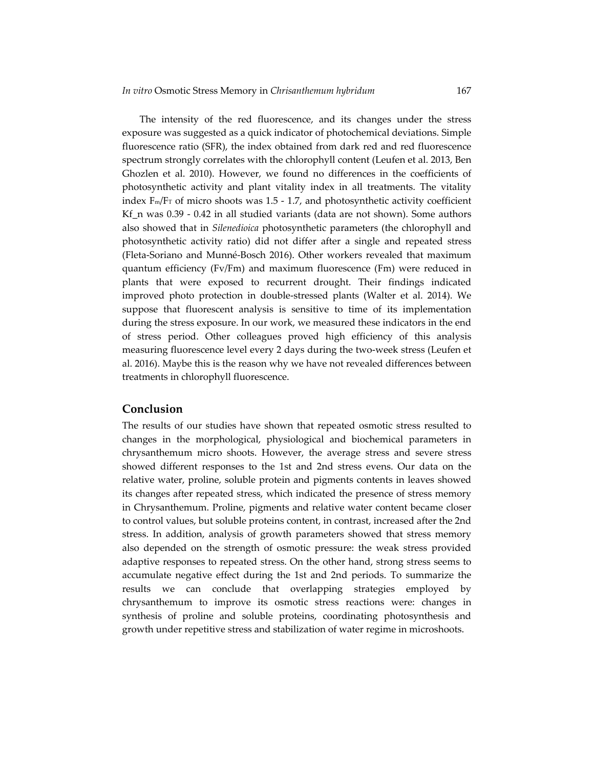The intensity of the red fluorescence, and its changes under the stress exposure was suggested as a quick indicator of photochemical deviations. Simple fluorescence ratio (SFR), the index obtained from dark red and red fluorescence spectrum strongly correlates with the chlorophyll content (Leufen et al. 2013, Ben Ghozlen et al. 2010). However, we found no differences in the coefficients of photosynthetic activity and plant vitality index in all treatments. The vitality index  $F_m/F_T$  of micro shoots was 1.5 - 1.7, and photosynthetic activity coefficient Kf  $n$  was 0.39  $-$  0.42 in all studied variants (data are not shown). Some authors also showed that in *Silenedioica* photosynthetic parameters (the chlorophyll and photosynthetic activity ratio) did not differ after a single and repeated stress (Fleta‐Soriano and Munné‐Bosch 2016). Other workers revealed that maximum quantum efficiency (Fv/Fm) and maximum fluorescence (Fm) were reduced in plants that were exposed to recurrent drought. Their findings indicated improved photo protection in double‐stressed plants (Walter et al. 2014). We suppose that fluorescent analysis is sensitive to time of its implementation during the stress exposure. In our work, we measured these indicators in the end of stress period. Other colleagues proved high efficiency of this analysis measuring fluorescence level every 2 days during the two-week stress (Leufen et al. 2016). Maybe this is the reason why we have not revealed differences between treatments in chlorophyll fluorescence.

#### **Conclusion**

The results of our studies have shown that repeated osmotic stress resulted to changes in the morphological, physiological and biochemical parameters in chrysanthemum micro shoots. However, the average stress and severe stress showed different responses to the 1st and 2nd stress evens. Our data on the relative water, proline, soluble protein and pigments contents in leaves showed its changes after repeated stress, which indicated the presence of stress memory in Chrysanthemum. Proline, pigments and relative water content became closer to control values, but soluble proteins content, in contrast, increased after the 2nd stress. In addition, analysis of growth parameters showed that stress memory also depended on the strength of osmotic pressure: the weak stress provided adaptive responses to repeated stress. On the other hand, strong stress seems to accumulate negative effect during the 1st and 2nd periods. To summarize the results we can conclude that overlapping strategies employed by chrysanthemum to improve its osmotic stress reactions were: changes in synthesis of proline and soluble proteins, coordinating photosynthesis and growth under repetitive stress and stabilization of water regime in microshoots.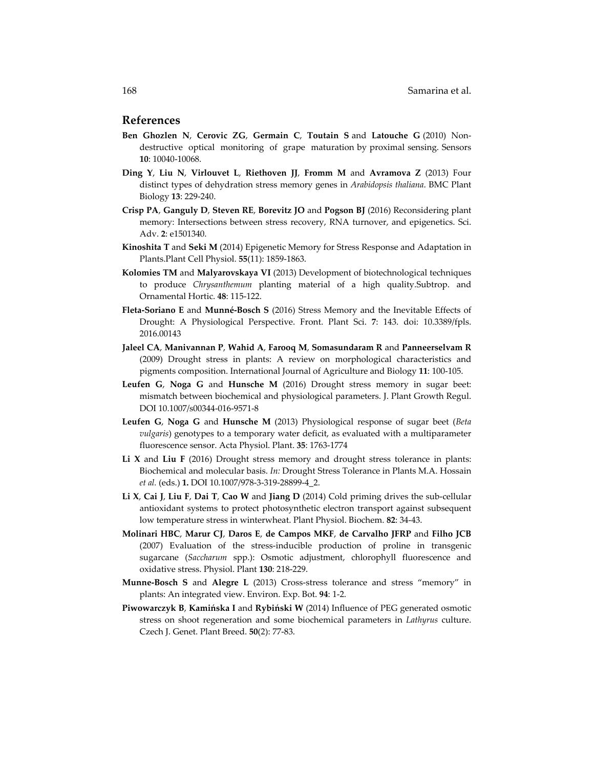#### **References**

- **Ben Ghozlen N**, **Cerovic ZG**, **Germain C**, **Toutain S** and **Latouche G** (2010) Non‐ destructive optical monitoring of grape maturation by proximal sensing. Sensors **10**: 10040‐10068.
- **Ding Y**, **Liu N**, **Virlouvet L**, **Riethoven JJ**, **Fromm M** and **Avramova Z** (2013) Four distinct types of dehydration stress memory genes in *Arabidopsis thaliana*. BMC Plant Biology **13**: 229‐240.
- **Crisp PA**, **Ganguly D**, **Steven RE**, **Borevitz JO** and **Pogson BJ** (2016) Reconsidering plant memory: Intersections between stress recovery, RNA turnover, and epigenetics. Sci. Adv. **2**: e1501340.
- **Kinoshita T** and **Seki M** (2014) Epigenetic Memory for Stress Response and Adaptation in Plants.Plant Cell Physiol. **55**(11): 1859‐1863.
- **Kolomies ТМ** and **Malyarovskaya VI** (2013) Development of biotechnological techniques to produce *Chrysanthemum* planting material of a high quality.Subtrop. and Ornamental Hortic. **48**: 115‐122.
- **Fleta‐Soriano E** and **Munné‐Bosch S** (2016) Stress Memory and the Inevitable Effects of Drought: A Physiological Perspective. Front. Plant Sci. **7**: 143. doi: 10.3389/fpls. 2016.00143
- **Jaleel CA**, **Manivannan P**, **Wahid A**, **Farooq M**, **Somasundaram R** and **Panneerselvam R** (2009) Drought stress in plants: A review on morphological characteristics and pigments composition. International Journal of Agriculture and Biology **11**: 100‐105.
- **Leufen G**, **Noga G** and **Hunsche M** (2016) Drought stress memory in sugar beet: mismatch between biochemical and physiological parameters. J. Plant Growth Regul. DOI 10.1007/s00344‐016‐9571‐8
- **Leufen G**, **Noga G** and **Hunsche M** (2013) Physiological response of sugar beet (*Beta vulgaris*) genotypes to a temporary water deficit, as evaluated with a multiparameter fluorescence sensor. Acta Physiol. Plant. **35**: 1763‐1774
- **Li X** and **Liu F** (2016) Drought stress memory and drought stress tolerance in plants: Biochemical and molecular basis. *In:* Drought Stress Tolerance in Plants M.A. Hossain *et al.* (eds.) **1.** DOI 10.1007/978‐3‐319‐28899‐4\_2.
- **Li X**, **Cai J**, **Liu F**, **Dai T**, **Cao W** and **Jiang D** (2014) Cold priming drives the sub‐cellular antioxidant systems to protect photosynthetic electron transport against subsequent low temperature stress in winterwheat. Plant Physiol. Biochem. **82**: 34‐43.
- **Molinari HBC**, **Marur CJ**, **Daros E**, **de Campos MKF**, **de Carvalho JFRP** and **Filho JCB** (2007) Evaluation of the stress‐inducible production of proline in transgenic sugarcane (*Saccharum* spp.): Osmotic adjustment, chlorophyll fluorescence and oxidative stress. Physiol. Plant **130**: 218‐229.
- **Munne‐Bosch S** and **Alegre L** (2013) Cross‐stress tolerance and stress "memory" in plants: An integrated view. Environ. Exp. Bot. **94**: 1‐2.
- **Piwowarczyk B**, **Kamińska I** and **Rybiński W** (2014) Influence of PEG generated osmotic stress on shoot regeneration and some biochemical parameters in *Lathyrus* culture. Czech J. Genet. Plant Breed. **50**(2): 77‐83.